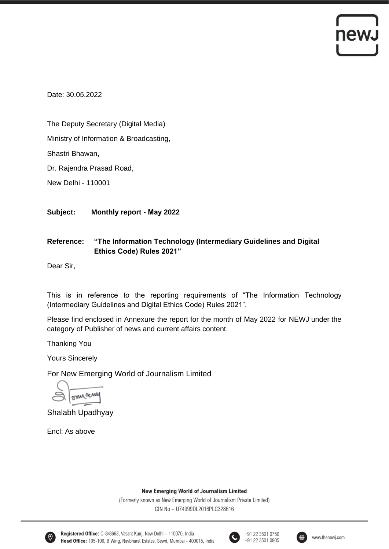## newJ

Date: 30.05.2022

The Deputy Secretary (Digital Media)

Ministry of Information & Broadcasting,

Shastri Bhawan,

Dr. Rajendra Prasad Road,

New Delhi - 110001

**Subject: Monthly report - May 2022**

## **Reference: "The Information Technology (Intermediary Guidelines and Digital Ethics Code) Rules 2021"**

Dear Sir,

This is in reference to the reporting requirements of "The Information Technology (Intermediary Guidelines and Digital Ethics Code) Rules 2021".

Please find enclosed in Annexure the report for the month of May 2022 for NEWJ under the category of Publisher of news and current affairs content.

Thanking You

Yours Sincerely

For New Emerging World of Journalism Limited

omacun

Shalabh Upadhyay

Encl: As above

**New Emerging World of Journalism Limited** 

(Formerly known as New Emerging World of Journalism Private Limited) CIN No - U74999DL2018PLC328616



Registered Office: C-8/8663, Vasant Kunj, New Delhi - 110070, India Head Office: 105-106, B Wing, Navbharat Estates, Sewri, Mumbai - 400015, India